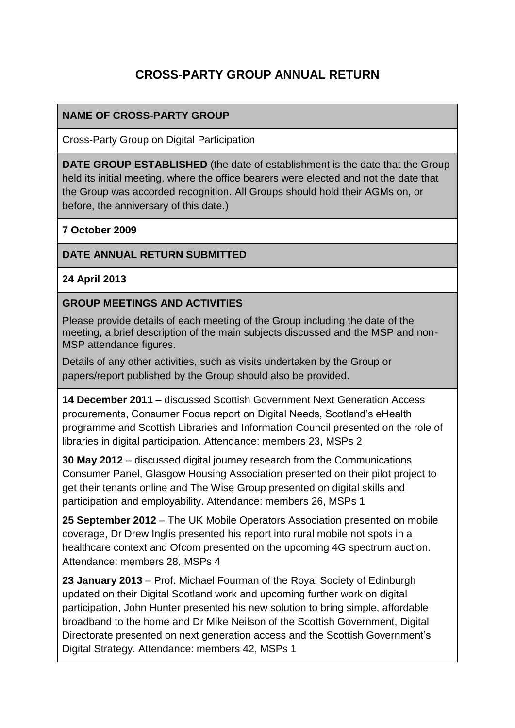# **CROSS-PARTY GROUP ANNUAL RETURN**

## **NAME OF CROSS-PARTY GROUP**

Cross-Party Group on Digital Participation

**DATE GROUP ESTABLISHED** (the date of establishment is the date that the Group held its initial meeting, where the office bearers were elected and not the date that the Group was accorded recognition. All Groups should hold their AGMs on, or before, the anniversary of this date.)

#### **7 October 2009**

## **DATE ANNUAL RETURN SUBMITTED**

#### **24 April 2013**

#### **GROUP MEETINGS AND ACTIVITIES**

Please provide details of each meeting of the Group including the date of the meeting, a brief description of the main subjects discussed and the MSP and non-MSP attendance figures.

Details of any other activities, such as visits undertaken by the Group or papers/report published by the Group should also be provided.

**14 December 2011** – discussed Scottish Government Next Generation Access procurements, Consumer Focus report on Digital Needs, Scotland's eHealth programme and Scottish Libraries and Information Council presented on the role of libraries in digital participation. Attendance: members 23, MSPs 2

**30 May 2012** – discussed digital journey research from the Communications Consumer Panel, Glasgow Housing Association presented on their pilot project to get their tenants online and The Wise Group presented on digital skills and participation and employability. Attendance: members 26, MSPs 1

**25 September 2012** – The UK Mobile Operators Association presented on mobile coverage, Dr Drew Inglis presented his report into rural mobile not spots in a healthcare context and Ofcom presented on the upcoming 4G spectrum auction. Attendance: members 28, MSPs 4

**23 January 2013** – Prof. Michael Fourman of the Royal Society of Edinburgh updated on their Digital Scotland work and upcoming further work on digital participation, John Hunter presented his new solution to bring simple, affordable broadband to the home and Dr Mike Neilson of the Scottish Government, Digital Directorate presented on next generation access and the Scottish Government's Digital Strategy. Attendance: members 42, MSPs 1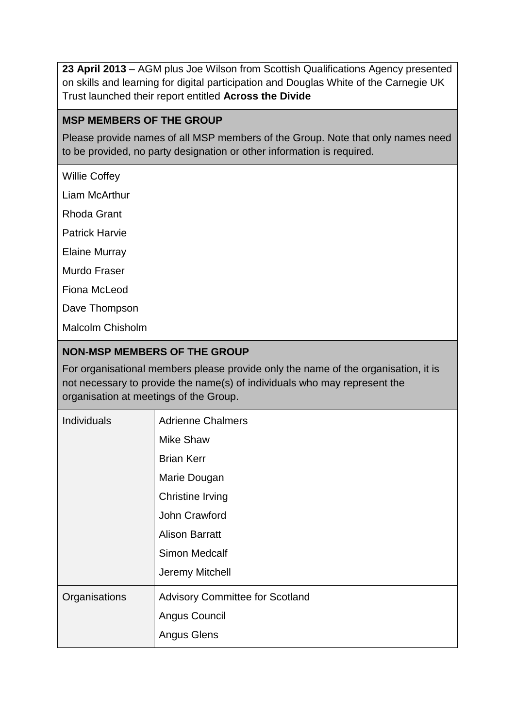**23 April 2013** – AGM plus Joe Wilson from Scottish Qualifications Agency presented on skills and learning for digital participation and Douglas White of the Carnegie UK Trust launched their report entitled **Across the Divide**

## **MSP MEMBERS OF THE GROUP**

Please provide names of all MSP members of the Group. Note that only names need to be provided, no party designation or other information is required.

Willie Coffey

Liam McArthur

Rhoda Grant

Patrick Harvie

Elaine Murray

Murdo Fraser

Fiona McLeod

Dave Thompson

Malcolm Chisholm

## **NON-MSP MEMBERS OF THE GROUP**

For organisational members please provide only the name of the organisation, it is not necessary to provide the name(s) of individuals who may represent the organisation at meetings of the Group.

| <b>Individuals</b> | <b>Adrienne Chalmers</b>               |
|--------------------|----------------------------------------|
|                    | <b>Mike Shaw</b>                       |
|                    | <b>Brian Kerr</b>                      |
|                    | Marie Dougan                           |
|                    | <b>Christine Irving</b>                |
|                    | John Crawford                          |
|                    | <b>Alison Barratt</b>                  |
|                    | <b>Simon Medcalf</b>                   |
|                    | Jeremy Mitchell                        |
| Organisations      | <b>Advisory Committee for Scotland</b> |
|                    | Angus Council                          |
|                    | <b>Angus Glens</b>                     |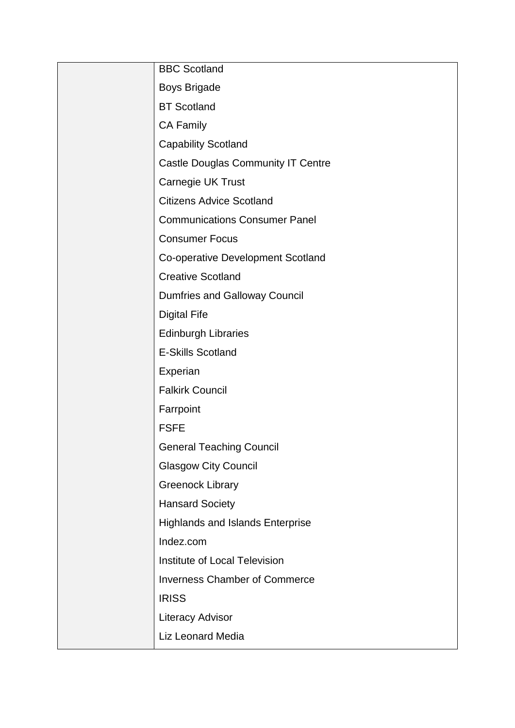| <b>BBC Scotland</b>                       |
|-------------------------------------------|
| <b>Boys Brigade</b>                       |
| <b>BT Scotland</b>                        |
| <b>CA Family</b>                          |
| <b>Capability Scotland</b>                |
| <b>Castle Douglas Community IT Centre</b> |
| Carnegie UK Trust                         |
| <b>Citizens Advice Scotland</b>           |
| <b>Communications Consumer Panel</b>      |
| <b>Consumer Focus</b>                     |
| <b>Co-operative Development Scotland</b>  |
| <b>Creative Scotland</b>                  |
| <b>Dumfries and Galloway Council</b>      |
| <b>Digital Fife</b>                       |
| <b>Edinburgh Libraries</b>                |
| <b>E-Skills Scotland</b>                  |
| Experian                                  |
| <b>Falkirk Council</b>                    |
| Farrpoint                                 |
| <b>FSFE</b>                               |
| <b>General Teaching Council</b>           |
| <b>Glasgow City Council</b>               |
| <b>Greenock Library</b>                   |
| <b>Hansard Society</b>                    |
| <b>Highlands and Islands Enterprise</b>   |
| Indez.com                                 |
| Institute of Local Television             |
| <b>Inverness Chamber of Commerce</b>      |
| <b>IRISS</b>                              |
| <b>Literacy Advisor</b>                   |
| <b>Liz Leonard Media</b>                  |
|                                           |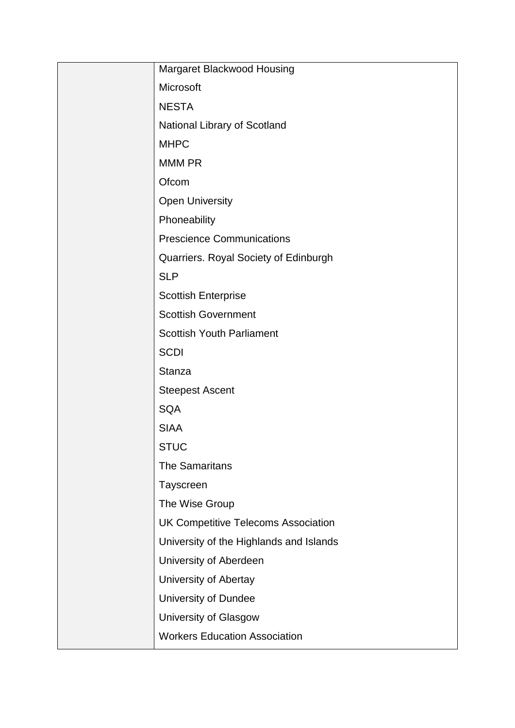| Margaret Blackwood Housing                 |
|--------------------------------------------|
| Microsoft                                  |
| <b>NESTA</b>                               |
| National Library of Scotland               |
| <b>MHPC</b>                                |
| <b>MMM PR</b>                              |
| Ofcom                                      |
| <b>Open University</b>                     |
| Phoneability                               |
| <b>Prescience Communications</b>           |
| Quarriers. Royal Society of Edinburgh      |
| <b>SLP</b>                                 |
| <b>Scottish Enterprise</b>                 |
| <b>Scottish Government</b>                 |
| <b>Scottish Youth Parliament</b>           |
| <b>SCDI</b>                                |
| <b>Stanza</b>                              |
| <b>Steepest Ascent</b>                     |
| <b>SQA</b>                                 |
| <b>SIAA</b>                                |
| <b>STUC</b>                                |
| <b>The Samaritans</b>                      |
| Tayscreen                                  |
| The Wise Group                             |
| <b>UK Competitive Telecoms Association</b> |
| University of the Highlands and Islands    |
| University of Aberdeen                     |
| University of Abertay                      |
| <b>University of Dundee</b>                |
| University of Glasgow                      |
| <b>Workers Education Association</b>       |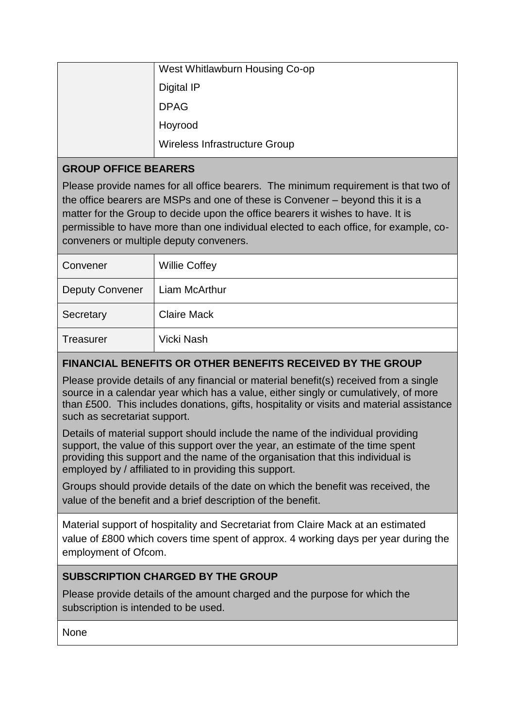| West Whitlawburn Housing Co-op |
|--------------------------------|
| Digital IP                     |
| <b>DPAG</b>                    |
| Hoyrood                        |
| Wireless Infrastructure Group  |

## **GROUP OFFICE BEARERS**

Please provide names for all office bearers. The minimum requirement is that two of the office bearers are MSPs and one of these is Convener – beyond this it is a matter for the Group to decide upon the office bearers it wishes to have. It is permissible to have more than one individual elected to each office, for example, coconveners or multiple deputy conveners.

| Convener               | <b>Willie Coffey</b> |
|------------------------|----------------------|
| <b>Deputy Convener</b> | Liam McArthur        |
| Secretary              | <b>Claire Mack</b>   |
| <b>Treasurer</b>       | Vicki Nash           |

# **FINANCIAL BENEFITS OR OTHER BENEFITS RECEIVED BY THE GROUP**

Please provide details of any financial or material benefit(s) received from a single source in a calendar year which has a value, either singly or cumulatively, of more than £500. This includes donations, gifts, hospitality or visits and material assistance such as secretariat support.

Details of material support should include the name of the individual providing support, the value of this support over the year, an estimate of the time spent providing this support and the name of the organisation that this individual is employed by / affiliated to in providing this support.

Groups should provide details of the date on which the benefit was received, the value of the benefit and a brief description of the benefit.

Material support of hospitality and Secretariat from Claire Mack at an estimated value of £800 which covers time spent of approx. 4 working days per year during the employment of Ofcom.

## **SUBSCRIPTION CHARGED BY THE GROUP**

Please provide details of the amount charged and the purpose for which the subscription is intended to be used.

**None**